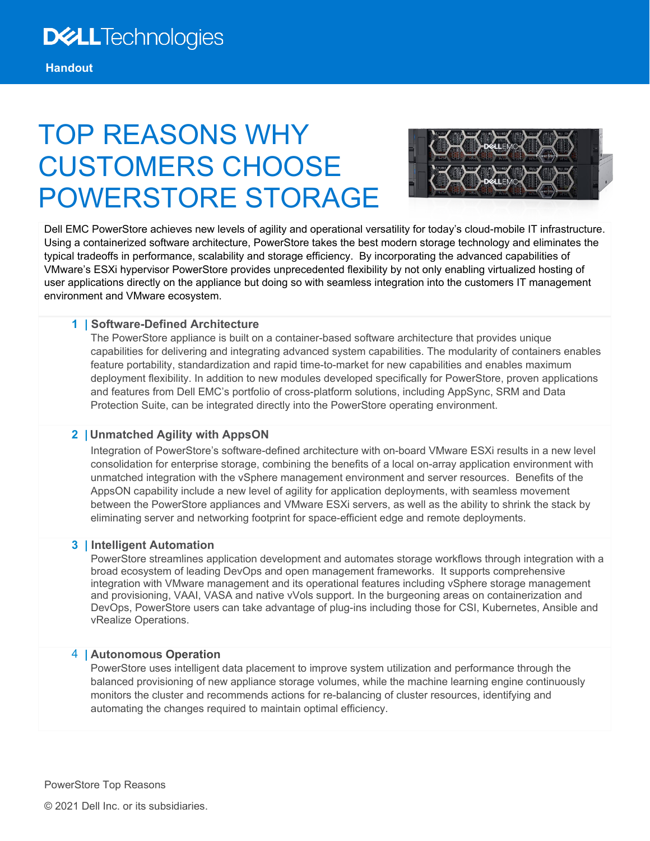# TOP REASONS WHY CUSTOMERS CHOOSE POWERSTORE STORAGE



Dell EMC PowerStore achieves new levels of agility and operational versatility for today's cloud-mobile IT infrastructure. Using a containerized software architecture, PowerStore takes the best modern storage technology and eliminates the typical tradeoffs in performance, scalability and storage efficiency. By incorporating the advanced capabilities of VMware's ESXi hypervisor PowerStore provides unprecedented flexibility by not only enabling virtualized hosting of user applications directly on the appliance but doing so with seamless integration into the customers IT management environment and VMware ecosystem.

#### **1 | Software-Defined Architecture**

The PowerStore appliance is built on a container-based software architecture that provides unique capabilities for delivering and integrating advanced system capabilities. The modularity of containers enables feature portability, standardization and rapid time-to-market for new capabilities and enables maximum deployment flexibility. In addition to new modules developed specifically for PowerStore, proven applications and features from Dell EMC's portfolio of cross-platform solutions, including AppSync, SRM and Data Protection Suite, can be integrated directly into the PowerStore operating environment.

# **2 | Unmatched Agility with AppsON**

Integration of PowerStore's software-defined architecture with on-board VMware ESXi results in a new level consolidation for enterprise storage, combining the benefits of a local on-array application environment with unmatched integration with the vSphere management environment and server resources. Benefits of the AppsON capability include a new level of agility for application deployments, with seamless movement between the PowerStore appliances and VMware ESXi servers, as well as the ability to shrink the stack by eliminating server and networking footprint for space-efficient edge and remote deployments.

#### **3 | Intelligent Automation**

PowerStore streamlines application development and automates storage workflows through integration with a broad ecosystem of leading DevOps and open management frameworks. It supports comprehensive integration with VMware management and its operational features including vSphere storage management and provisioning, VAAI, VASA and native vVols support. In the burgeoning areas on containerization and DevOps, PowerStore users can take advantage of plug-ins including those for CSI, Kubernetes, Ansible and vRealize Operations.

#### 4 **| Autonomous Operation**

PowerStore uses intelligent data placement to improve system utilization and performance through the balanced provisioning of new appliance storage volumes, while the machine learning engine continuously monitors the cluster and recommends actions for re-balancing of cluster resources, identifying and automating the changes required to maintain optimal efficiency.